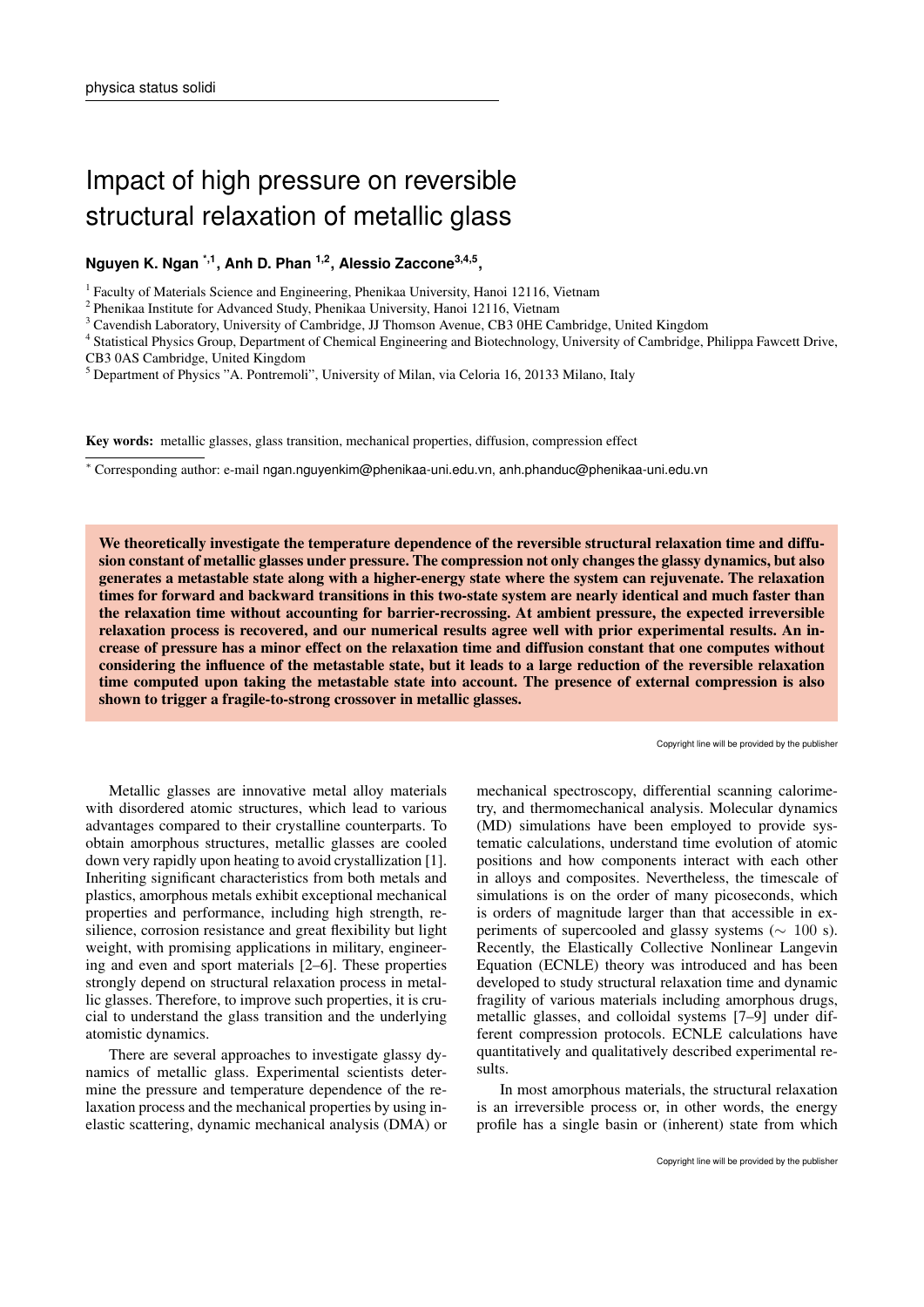## Impact of high pressure on reversible structural relaxation of metallic glass

## **Nguyen K. Ngan \*,1, Anh D. Phan 1,2, Alessio Zaccone3,4,5 ,**

<sup>1</sup> Faculty of Materials Science and Engineering, Phenikaa University, Hanoi 12116, Vietnam

<sup>2</sup> Phenikaa Institute for Advanced Study, Phenikaa University, Hanoi 12116, Vietnam

<sup>3</sup> Cavendish Laboratory, University of Cambridge, JJ Thomson Avenue, CB3 0HE Cambridge, United Kingdom

4 Statistical Physics Group, Department of Chemical Engineering and Biotechnology, University of Cambridge, Philippa Fawcett Drive, CB3 0AS Cambridge, United Kingdom

<sup>5</sup> Department of Physics "A. Pontremoli", University of Milan, via Celoria 16, 20133 Milano, Italy

Key words: metallic glasses, glass transition, mechanical properties, diffusion, compression effect

<sup>∗</sup> Corresponding author: e-mail ngan.nguyenkim@phenikaa-uni.edu.vn, anh.phanduc@phenikaa-uni.edu.vn

We theoretically investigate the temperature dependence of the reversible structural relaxation time and diffusion constant of metallic glasses under pressure. The compression not only changes the glassy dynamics, but also generates a metastable state along with a higher-energy state where the system can rejuvenate. The relaxation times for forward and backward transitions in this two-state system are nearly identical and much faster than the relaxation time without accounting for barrier-recrossing. At ambient pressure, the expected irreversible relaxation process is recovered, and our numerical results agree well with prior experimental results. An increase of pressure has a minor effect on the relaxation time and diffusion constant that one computes without considering the influence of the metastable state, but it leads to a large reduction of the reversible relaxation time computed upon taking the metastable state into account. The presence of external compression is also shown to trigger a fragile-to-strong crossover in metallic glasses.

Copyright line will be provided by the publisher

Metallic glasses are innovative metal alloy materials with disordered atomic structures, which lead to various advantages compared to their crystalline counterparts. To obtain amorphous structures, metallic glasses are cooled down very rapidly upon heating to avoid crystallization [1]. Inheriting significant characteristics from both metals and plastics, amorphous metals exhibit exceptional mechanical properties and performance, including high strength, resilience, corrosion resistance and great flexibility but light weight, with promising applications in military, engineering and even and sport materials [2–6]. These properties strongly depend on structural relaxation process in metallic glasses. Therefore, to improve such properties, it is crucial to understand the glass transition and the underlying atomistic dynamics.

There are several approaches to investigate glassy dynamics of metallic glass. Experimental scientists determine the pressure and temperature dependence of the relaxation process and the mechanical properties by using inelastic scattering, dynamic mechanical analysis (DMA) or mechanical spectroscopy, differential scanning calorimetry, and thermomechanical analysis. Molecular dynamics (MD) simulations have been employed to provide systematic calculations, understand time evolution of atomic positions and how components interact with each other in alloys and composites. Nevertheless, the timescale of simulations is on the order of many picoseconds, which is orders of magnitude larger than that accessible in experiments of supercooled and glassy systems ( $\sim 100$  s). Recently, the Elastically Collective Nonlinear Langevin Equation (ECNLE) theory was introduced and has been developed to study structural relaxation time and dynamic fragility of various materials including amorphous drugs, metallic glasses, and colloidal systems [7–9] under different compression protocols. ECNLE calculations have quantitatively and qualitatively described experimental results.

In most amorphous materials, the structural relaxation is an irreversible process or, in other words, the energy profile has a single basin or (inherent) state from which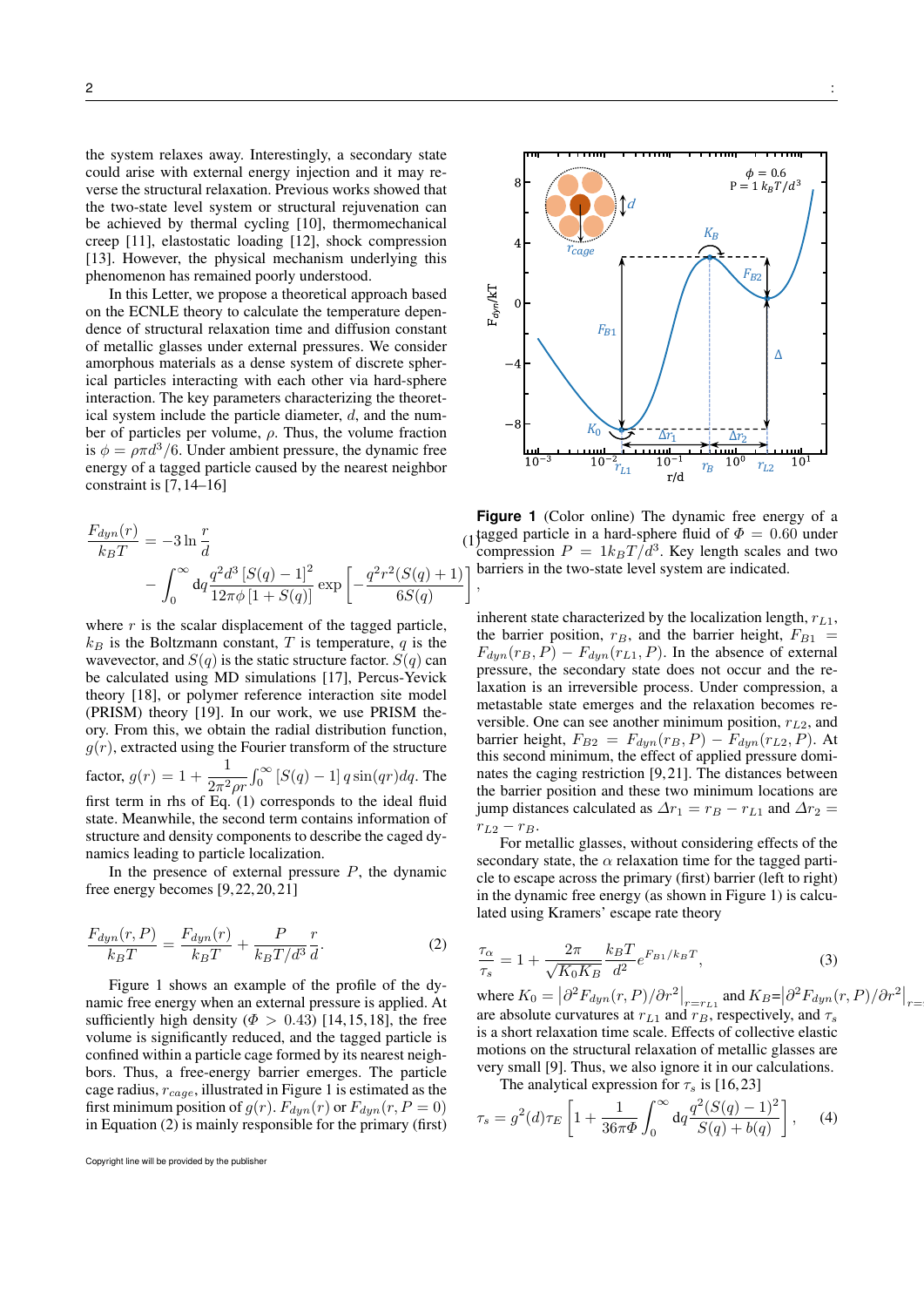the system relaxes away. Interestingly, a secondary state could arise with external energy injection and it may reverse the structural relaxation. Previous works showed that the two-state level system or structural rejuvenation can be achieved by thermal cycling [10], thermomechanical creep [11], elastostatic loading [12], shock compression [13]. However, the physical mechanism underlying this phenomenon has remained poorly understood.

In this Letter, we propose a theoretical approach based on the ECNLE theory to calculate the temperature dependence of structural relaxation time and diffusion constant of metallic glasses under external pressures. We consider amorphous materials as a dense system of discrete spherical particles interacting with each other via hard-sphere interaction. The key parameters characterizing the theoretical system include the particle diameter,  $d$ , and the number of particles per volume,  $\rho$ . Thus, the volume fraction is  $\phi = \rho \pi d^3/6$ . Under ambient pressure, the dynamic free energy of a tagged particle caused by the nearest neighbor constraint is [7, 14–16]

$$
\frac{F_{dyn}(r)}{k_B T} = -3 \ln \frac{r}{d}
$$
\n
$$
- \int_0^\infty dq \frac{q^2 d^3 [S(q) - 1]^2}{12\pi \phi [1 + S(q)]} \exp \left[ -\frac{q^2 r^2 (S(q) + 1)}{6S(q)} \right]
$$

where  $r$  is the scalar displacement of the tagged particle,  $k_B$  is the Boltzmann constant, T is temperature, q is the wavevector, and  $S(q)$  is the static structure factor.  $S(q)$  can be calculated using MD simulations [17], Percus-Yevick theory [18], or polymer reference interaction site model (PRISM) theory [19]. In our work, we use PRISM theory. From this, we obtain the radial distribution function,  $g(r)$ , extracted using the Fourier transform of the structure factor,  $g(r) = 1 + \frac{1}{2\pi^2 \rho r} \int_0^\infty [S(q) - 1] q \sin(qr) dq$ . The first term in rhs of Eq.  $(1)$  corresponds to the ideal fluid state. Meanwhile, the second term contains information of structure and density components to describe the caged dynamics leading to particle localization.

In the presence of external pressure  $P$ , the dynamic free energy becomes [9, 22, 20, 21]

$$
\frac{F_{dyn}(r,P)}{k_BT} = \frac{F_{dyn}(r)}{k_BT} + \frac{P}{k_BT/d^3} \frac{r}{d}.
$$
\n(2)

Figure 1 shows an example of the profile of the dynamic free energy when an external pressure is applied. At sufficiently high density ( $\Phi > 0.43$ ) [14, 15, 18], the free volume is significantly reduced, and the tagged particle is confined within a particle cage formed by its nearest neighbors. Thus, a free-energy barrier emerges. The particle cage radius,  $r_{cage}$ , illustrated in Figure 1 is estimated as the first minimum position of  $g(r)$ .  $F_{dyn}(r)$  or  $F_{dyn}(r, P = 0)$ in Equation (2) is mainly responsible for the primary (first)





(1) (1) (1) tagged particle in a hard-sphere fluid of  $\Phi = 0.60$  under 1 , **Figure 1** (Color online) The dynamic free energy of a compression  $P = 1k_B T/d^3$ . Key length scales and two barriers in the two-state level system are indicated.

inherent state characterized by the localization length,  $r_{L1}$ , the barrier position,  $r_B$ , and the barrier height,  $F_{B1}$  =  $F_{dyn}(r_B, P) - F_{dyn}(r_{L1}, P)$ . In the absence of external pressure, the secondary state does not occur and the relaxation is an irreversible process. Under compression, a metastable state emerges and the relaxation becomes reversible. One can see another minimum position,  $r_{L2}$ , and barrier height,  $F_{B2} = F_{dyn}(r_B, P) - F_{dyn}(r_{L2}, P)$ . At this second minimum, the effect of applied pressure dominates the caging restriction [9, 21]. The distances between the barrier position and these two minimum locations are jump distances calculated as  $\Delta r_1 = r_B - r_{L1}$  and  $\Delta r_2 =$  $r_{L2} - r_B$ .

For metallic glasses, without considering effects of the secondary state, the  $\alpha$  relaxation time for the tagged particle to escape across the primary (first) barrier (left to right) in the dynamic free energy (as shown in Figure 1) is calculated using Kramers' escape rate theory

$$
\frac{\tau_{\alpha}}{\tau_s} = 1 + \frac{2\pi}{\sqrt{K_0 K_B}} \frac{k_B T}{d^2} e^{F_{B1}/k_B T},\tag{3}
$$

where  $K_0 = \left|\partial^2 F_{dyn}(r, P)/\partial r^2\right|_{r=r_{L1}}$  and  $K_B = \left|\partial^2 F_{dyn}(r, P)/\partial r^2\right|_{r=r_{L1}}$ are absolute curvatures at  $r_{L1}$  and  $r_B$ , respectively, and  $\tau_s$ is a short relaxation time scale. Effects of collective elastic motions on the structural relaxation of metallic glasses are very small [9]. Thus, we also ignore it in our calculations.

The analytical expression for  $\tau_s$  is [16,23]

$$
\tau_s = g^2(d)\tau_E \left[ 1 + \frac{1}{36\pi\Phi} \int_0^\infty dq \frac{q^2 (S(q) - 1)^2}{S(q) + b(q)} \right], \quad (4)
$$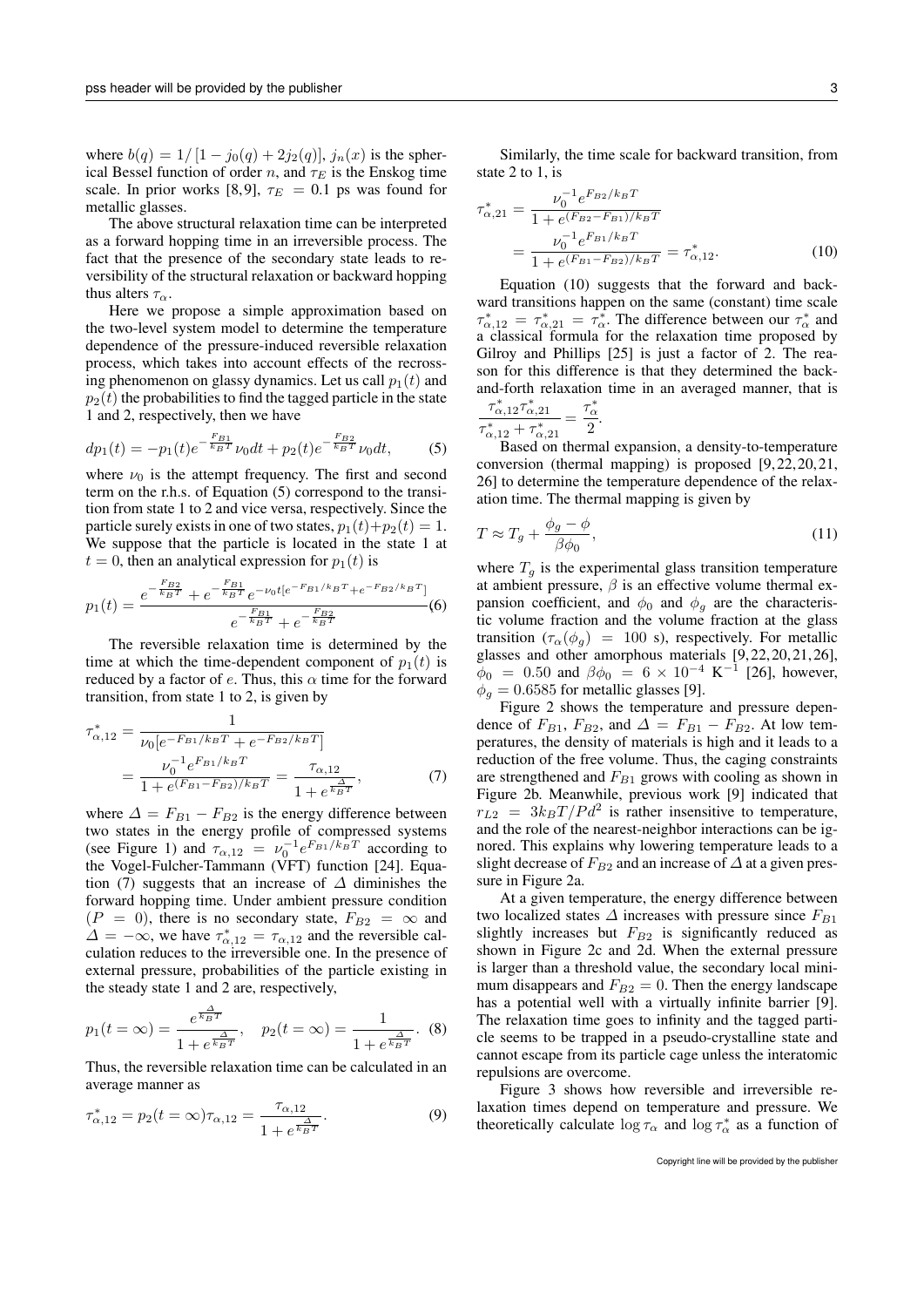where  $b(q) = 1/[1 - j_0(q) + 2j_2(q)], j_n(x)$  is the spherical Bessel function of order n, and  $\tau_E$  is the Enskog time scale. In prior works [8,9],  $\tau_E = 0.1$  ps was found for metallic glasses.

The above structural relaxation time can be interpreted as a forward hopping time in an irreversible process. The fact that the presence of the secondary state leads to reversibility of the structural relaxation or backward hopping thus alters  $\tau_{\alpha}$ .

Here we propose a simple approximation based on the two-level system model to determine the temperature dependence of the pressure-induced reversible relaxation process, which takes into account effects of the recrossing phenomenon on glassy dynamics. Let us call  $p_1(t)$  and  $p_2(t)$  the probabilities to find the tagged particle in the state 1 and 2, respectively, then we have

$$
dp_1(t) = -p_1(t)e^{-\frac{F_{B1}}{k_B T}}\nu_0 dt + p_2(t)e^{-\frac{F_{B2}}{k_B T}}\nu_0 dt,
$$
 (5)

where  $\nu_0$  is the attempt frequency. The first and second term on the r.h.s. of Equation (5) correspond to the transition from state 1 to 2 and vice versa, respectively. Since the particle surely exists in one of two states,  $p_1(t)+p_2(t) = 1$ . We suppose that the particle is located in the state 1 at  $t = 0$ , then an analytical expression for  $p_1(t)$  is

$$
p_1(t) = \frac{e^{-\frac{F_{B2}}{k_B T}} + e^{-\frac{F_{B1}}{k_B T}} e^{-\nu_0 t [e^{-F_{B1}/k_B T} + e^{-F_{B2}/k_B T}]} e^{-\frac{F_{B1}}{k_B T}}}{e^{-\frac{F_{B1}}{k_B T}} + e^{-\frac{F_{B2}}{k_B T}}} (6)
$$

The reversible relaxation time is determined by the time at which the time-dependent component of  $p_1(t)$  is reduced by a factor of e. Thus, this  $\alpha$  time for the forward transition, from state 1 to 2, is given by

$$
\tau_{\alpha,12}^* = \frac{1}{\nu_0 [e^{-F_{B1}/k_B T} + e^{-F_{B2}/k_B T}]} \\
= \frac{\nu_0^{-1} e^{F_{B1}/k_B T}}{1 + e^{(F_{B1} - F_{B2})/k_B T}} = \frac{\tau_{\alpha,12}}{1 + e^{\frac{\Delta}{k_B T}}},
$$
\n(7)

where  $\Delta = F_{B1} - F_{B2}$  is the energy difference between two states in the energy profile of compressed systems (see Figure 1) and  $\tau_{\alpha,12} = \nu_0^{-1} e^{F_{B1}/k_B T}$  according to the Vogel-Fulcher-Tammann (VFT) function [24]. Equation (7) suggests that an increase of  $\Delta$  diminishes the forward hopping time. Under ambient pressure condition  $(P = 0)$ , there is no secondary state,  $F_{B2} = \infty$  and  $\Delta = -\infty$ , we have  $\tau_{\alpha,12}^* = \tau_{\alpha,12}$  and the reversible calculation reduces to the irreversible one. In the presence of external pressure, probabilities of the particle existing in the steady state 1 and 2 are, respectively,

$$
p_1(t = \infty) = \frac{e^{\frac{\Delta}{k_B T}}}{1 + e^{\frac{\Delta}{k_B T}}}, \quad p_2(t = \infty) = \frac{1}{1 + e^{\frac{\Delta}{k_B T}}}.
$$
 (8)

Thus, the reversible relaxation time can be calculated in an average manner as

$$
\tau_{\alpha,12}^* = p_2(t = \infty)\tau_{\alpha,12} = \frac{\tau_{\alpha,12}}{1 + e^{\frac{\Delta}{k_B T}}}.
$$
\n(9)

Similarly, the time scale for backward transition, from state 2 to 1, is

$$
\tau_{\alpha,21}^{*} = \frac{\nu_{0}^{-1} e^{F_{B2}/k_B T}}{1 + e^{(F_{B2} - F_{B1})/k_B T}}
$$

$$
= \frac{\nu_{0}^{-1} e^{F_{B1}/k_B T}}{1 + e^{(F_{B1} - F_{B2})/k_B T}} = \tau_{\alpha,12}^{*}.
$$
(10)

Equation (10) suggests that the forward and backward transitions happen on the same (constant) time scale  $\tau_{\alpha,12}^* = \tau_{\alpha,21}^* = \tau_{\alpha}^*$ . The difference between our  $\tau_{\alpha}^*$  and a classical formula for the relaxation time proposed by Gilroy and Phillips [25] is just a factor of 2. The reason for this difference is that they determined the backand-forth relaxation time in an averaged manner, that is ∗ ∗ ∗

$$
\frac{\tau^*_{\alpha,12}\tau^*_{\alpha,21}}{\tau^*_{\alpha,12}+\tau^*_{\alpha,21}}=\frac{\tau^*_{\alpha}}{2}
$$

.

Based on thermal expansion, a density-to-temperature conversion (thermal mapping) is proposed [9, 22, 20, 21, 26] to determine the temperature dependence of the relaxation time. The thermal mapping is given by

$$
T \approx T_g + \frac{\phi_g - \phi}{\beta \phi_0},\tag{11}
$$

where  $T<sub>g</sub>$  is the experimental glass transition temperature at ambient pressure,  $\beta$  is an effective volume thermal expansion coefficient, and  $\phi_0$  and  $\phi_a$  are the characteristic volume fraction and the volume fraction at the glass transition  $(\tau_{\alpha}(\phi_{q}) = 100 \text{ s})$ , respectively. For metallic glasses and other amorphous materials [9, 22, 20, 21, 26],  $\phi_0 = 0.50$  and  $\beta \phi_0 = 6 \times 10^{-4} \text{ K}^{-1}$  [26], however,  $\phi_g = 0.6585$  for metallic glasses [9].

Figure 2 shows the temperature and pressure dependence of  $F_{B1}$ ,  $F_{B2}$ , and  $\Delta = F_{B1} - F_{B2}$ . At low temperatures, the density of materials is high and it leads to a reduction of the free volume. Thus, the caging constraints are strengthened and  $F_{B1}$  grows with cooling as shown in Figure 2b. Meanwhile, previous work [9] indicated that  $r_{L2}$  =  $3k_BT/Pd^2$  is rather insensitive to temperature, and the role of the nearest-neighbor interactions can be ignored. This explains why lowering temperature leads to a slight decrease of  $F_{B2}$  and an increase of  $\Delta$  at a given pressure in Figure 2a.

At a given temperature, the energy difference between two localized states  $\Delta$  increases with pressure since  $F_{B1}$ slightly increases but  $F_{B2}$  is significantly reduced as shown in Figure 2c and 2d. When the external pressure is larger than a threshold value, the secondary local minimum disappears and  $F_{B2} = 0$ . Then the energy landscape has a potential well with a virtually infinite barrier [9]. The relaxation time goes to infinity and the tagged particle seems to be trapped in a pseudo-crystalline state and cannot escape from its particle cage unless the interatomic repulsions are overcome.

Figure 3 shows how reversible and irreversible relaxation times depend on temperature and pressure. We theoretically calculate  $\log \tau_{\alpha}$  and  $\log \tau_{\alpha}^{*}$  as a function of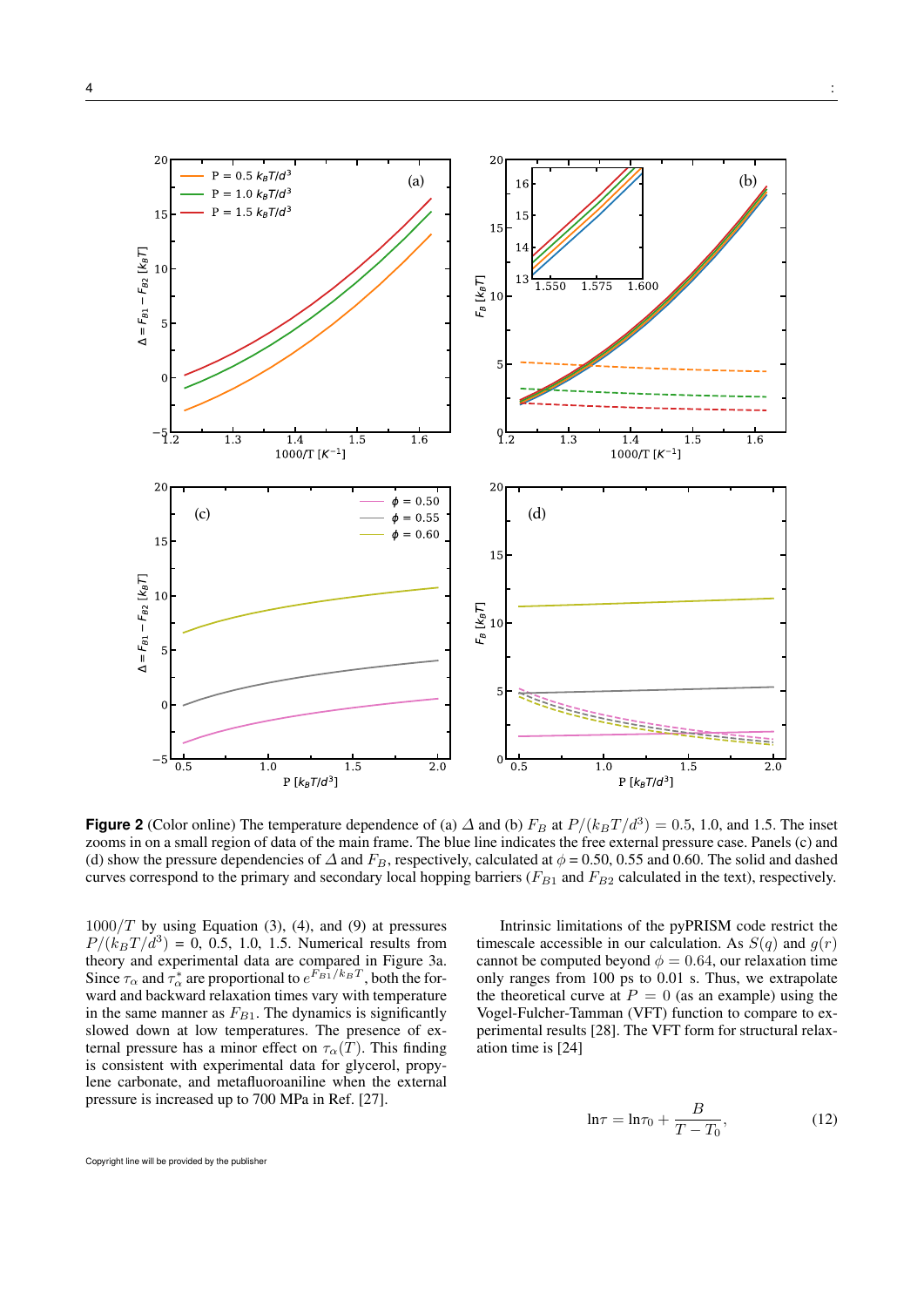

**Figure 2** (Color online) The temperature dependence of (a)  $\Delta$  and (b)  $F_B$  at  $P/(k_B T/d^3) = 0.5, 1.0,$  and 1.5. The inset zooms in on a small region of data of the main frame. The blue line indicates the free external pressure case. Panels (c) and (d) show the pressure dependencies of  $\Delta$  and  $F_B$ , respectively, calculated at  $\phi = 0.50, 0.55$  and 0.60. The solid and dashed curves correspond to the primary and secondary local hopping barriers ( $F_{B1}$  and  $F_{B2}$  calculated in the text), respectively.

 $1000/T$  by using Equation (3), (4), and (9) at pressures  $P/(k_B T / d^3) = 0, 0.5, 1.0, 1.5$ . Numerical results from theory and experimental data are compared in Figure 3a. Since  $\tau_{\alpha}$  and  $\tau_{\alpha}^{*}$  are proportional to  $e^{F_{B_1}/k_B T}$ , both the forward and backward relaxation times vary with temperature in the same manner as  $F_{B1}$ . The dynamics is significantly slowed down at low temperatures. The presence of external pressure has a minor effect on  $\tau_{\alpha}(T)$ . This finding is consistent with experimental data for glycerol, propylene carbonate, and metafluoroaniline when the external pressure is increased up to 700 MPa in Ref. [27].

Intrinsic limitations of the pyPRISM code restrict the timescale accessible in our calculation. As  $S(q)$  and  $q(r)$ cannot be computed beyond  $\phi = 0.64$ , our relaxation time only ranges from 100 ps to 0.01 s. Thus, we extrapolate the theoretical curve at  $P = 0$  (as an example) using the Vogel-Fulcher-Tamman (VFT) function to compare to experimental results [28]. The VFT form for structural relaxation time is [24]

$$
\ln \tau = \ln \tau_0 + \frac{B}{T - T_0},\tag{12}
$$

Copyright line will be provided by the publisher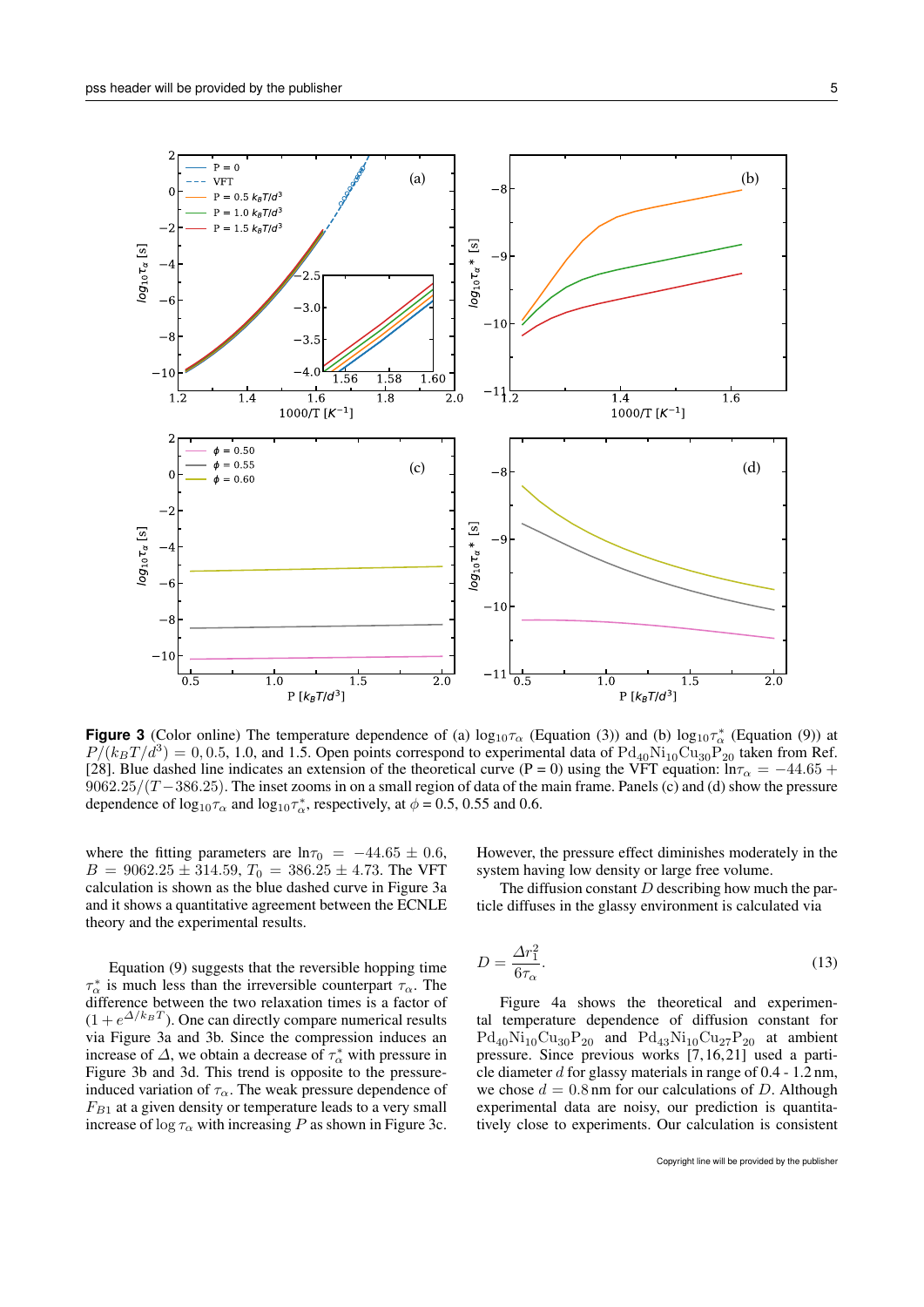

**Figure 3** (Color online) The temperature dependence of (a)  $log_{10}\tau_{\alpha}$  (Equation (3)) and (b)  $log_{10}\tau_{\alpha}^{*}$  (Equation (9)) at  $P/(k_BT/d^3) = 0, 0.5, 1.0,$  and 1.5. Open points correspond to experimental data of  $Pd_{40}Ni_{10}Cu_{30}P_{20}$  taken from Ref. [28]. Blue dashed line indicates an extension of the theoretical curve (P = 0) using the VFT equation:  $\ln \tau_{\alpha} = -44.65 +$  $9062.25/(T-386.25)$ . The inset zooms in on a small region of data of the main frame. Panels (c) and (d) show the pressure dependence of  $log_{10} \tau_{\alpha}$  and  $log_{10} \tau_{\alpha}^{*}$ , respectively, at  $\phi = 0.5, 0.55$  and 0.6.

where the fitting parameters are  $ln \tau_0 = -44.65 \pm 0.6$ ,  $B = 9062.25 \pm 314.59$ ,  $T_0 = 386.25 \pm 4.73$ . The VFT calculation is shown as the blue dashed curve in Figure 3a and it shows a quantitative agreement between the ECNLE theory and the experimental results.

Equation (9) suggests that the reversible hopping time  $\tau_{\alpha}^*$  is much less than the irreversible counterpart  $\tau_{\alpha}$ . The difference between the two relaxation times is a factor of  $(1 + e^{\Delta/k_B T})$ . One can directly compare numerical results via Figure 3a and 3b. Since the compression induces an increase of  $\Delta$ , we obtain a decrease of  $\tau^*_{\alpha}$  with pressure in Figure 3b and 3d. This trend is opposite to the pressureinduced variation of  $\tau_{\alpha}$ . The weak pressure dependence of  $F_{B1}$  at a given density or temperature leads to a very small increase of  $\log \tau_{\alpha}$  with increasing P as shown in Figure 3c.

However, the pressure effect diminishes moderately in the system having low density or large free volume.

The diffusion constant  $D$  describing how much the particle diffuses in the glassy environment is calculated via

$$
D = \frac{\Delta r_1^2}{6\tau_\alpha}.\tag{13}
$$

Figure 4a shows the theoretical and experimental temperature dependence of diffusion constant for  $Pd_{40}Ni_{10}Cu_{30}P_{20}$  and  $Pd_{43}Ni_{10}Cu_{27}P_{20}$  at ambient pressure. Since previous works [7, 16, 21] used a particle diameter d for glassy materials in range of 0.4 - 1.2 nm, we chose  $d = 0.8$  nm for our calculations of D. Although experimental data are noisy, our prediction is quantitatively close to experiments. Our calculation is consistent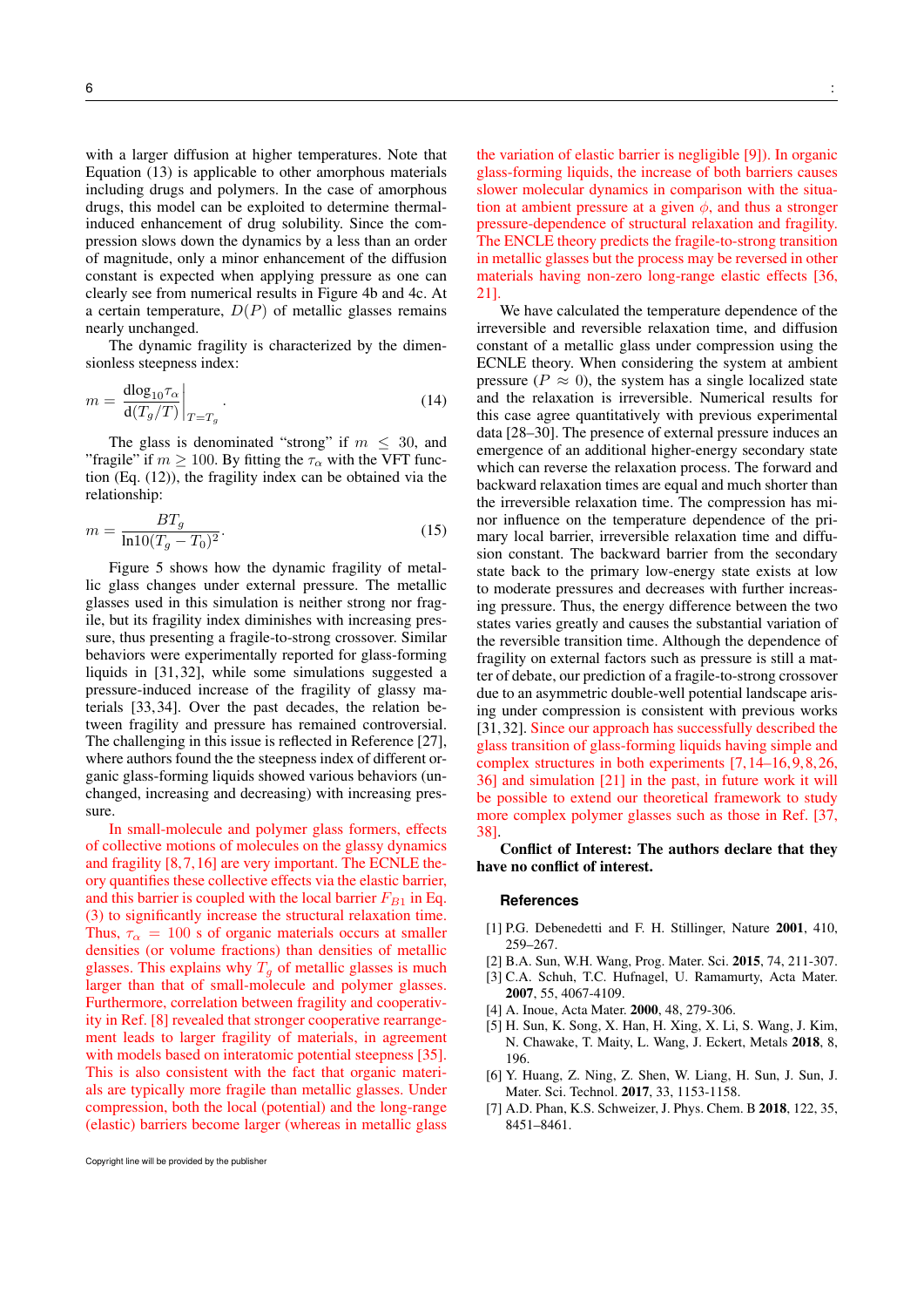with a larger diffusion at higher temperatures. Note that Equation (13) is applicable to other amorphous materials including drugs and polymers. In the case of amorphous drugs, this model can be exploited to determine thermalinduced enhancement of drug solubility. Since the compression slows down the dynamics by a less than an order of magnitude, only a minor enhancement of the diffusion constant is expected when applying pressure as one can clearly see from numerical results in Figure 4b and 4c. At a certain temperature,  $D(P)$  of metallic glasses remains nearly unchanged.

The dynamic fragility is characterized by the dimensionless steepness index:

$$
m = \left. \frac{\mathrm{dlog}_{10} \tau_{\alpha}}{\mathrm{d}(T_g/T)} \right|_{T=T_g} . \tag{14}
$$

The glass is denominated "strong" if  $m \leq 30$ , and "fragile" if  $m \ge 100$ . By fitting the  $\tau_{\alpha}$  with the VFT function (Eq. (12)), the fragility index can be obtained via the relationship:

$$
m = \frac{BT_g}{\ln 10(T_g - T_0)^2}.
$$
\n(15)

Figure 5 shows how the dynamic fragility of metallic glass changes under external pressure. The metallic glasses used in this simulation is neither strong nor fragile, but its fragility index diminishes with increasing pressure, thus presenting a fragile-to-strong crossover. Similar behaviors were experimentally reported for glass-forming liquids in [31, 32], while some simulations suggested a pressure-induced increase of the fragility of glassy materials [33, 34]. Over the past decades, the relation between fragility and pressure has remained controversial. The challenging in this issue is reflected in Reference [27], where authors found the the steepness index of different organic glass-forming liquids showed various behaviors (unchanged, increasing and decreasing) with increasing pressure.

In small-molecule and polymer glass formers, effects of collective motions of molecules on the glassy dynamics and fragility [8, 7, 16] are very important. The ECNLE theory quantifies these collective effects via the elastic barrier, and this barrier is coupled with the local barrier  $F_{B1}$  in Eq. (3) to significantly increase the structural relaxation time. Thus,  $\tau_{\alpha} = 100$  s of organic materials occurs at smaller densities (or volume fractions) than densities of metallic glasses. This explains why  $T_g$  of metallic glasses is much larger than that of small-molecule and polymer glasses. Furthermore, correlation between fragility and cooperativity in Ref. [8] revealed that stronger cooperative rearrangement leads to larger fragility of materials, in agreement with models based on interatomic potential steepness [35]. This is also consistent with the fact that organic materials are typically more fragile than metallic glasses. Under compression, both the local (potential) and the long-range (elastic) barriers become larger (whereas in metallic glass

the variation of elastic barrier is negligible [9]). In organic glass-forming liquids, the increase of both barriers causes slower molecular dynamics in comparison with the situation at ambient pressure at a given  $\phi$ , and thus a stronger pressure-dependence of structural relaxation and fragility. The ENCLE theory predicts the fragile-to-strong transition in metallic glasses but the process may be reversed in other materials having non-zero long-range elastic effects [36, 21].

We have calculated the temperature dependence of the irreversible and reversible relaxation time, and diffusion constant of a metallic glass under compression using the ECNLE theory. When considering the system at ambient pressure ( $P \approx 0$ ), the system has a single localized state and the relaxation is irreversible. Numerical results for this case agree quantitatively with previous experimental data [28–30]. The presence of external pressure induces an emergence of an additional higher-energy secondary state which can reverse the relaxation process. The forward and backward relaxation times are equal and much shorter than the irreversible relaxation time. The compression has minor influence on the temperature dependence of the primary local barrier, irreversible relaxation time and diffusion constant. The backward barrier from the secondary state back to the primary low-energy state exists at low to moderate pressures and decreases with further increasing pressure. Thus, the energy difference between the two states varies greatly and causes the substantial variation of the reversible transition time. Although the dependence of fragility on external factors such as pressure is still a matter of debate, our prediction of a fragile-to-strong crossover due to an asymmetric double-well potential landscape arising under compression is consistent with previous works [31, 32]. Since our approach has successfully described the glass transition of glass-forming liquids having simple and complex structures in both experiments [7, 14–16, 9, 8, 26, 36] and simulation [21] in the past, in future work it will be possible to extend our theoretical framework to study more complex polymer glasses such as those in Ref. [37, 38].

Conflict of Interest: The authors declare that they have no conflict of interest.

## **References**

- [1] P.G. Debenedetti and F. H. Stillinger, Nature 2001, 410, 259–267.
- [2] B.A. Sun, W.H. Wang, Prog. Mater. Sci. 2015, 74, 211-307.
- [3] C.A. Schuh, T.C. Hufnagel, U. Ramamurty, Acta Mater. 2007, 55, 4067-4109.
- [4] A. Inoue, Acta Mater. 2000, 48, 279-306.
- [5] H. Sun, K. Song, X. Han, H. Xing, X. Li, S. Wang, J. Kim, N. Chawake, T. Maity, L. Wang, J. Eckert, Metals 2018, 8, 196.
- [6] Y. Huang, Z. Ning, Z. Shen, W. Liang, H. Sun, J. Sun, J. Mater. Sci. Technol. 2017, 33, 1153-1158.
- [7] A.D. Phan, K.S. Schweizer, J. Phys. Chem. B 2018, 122, 35, 8451–8461.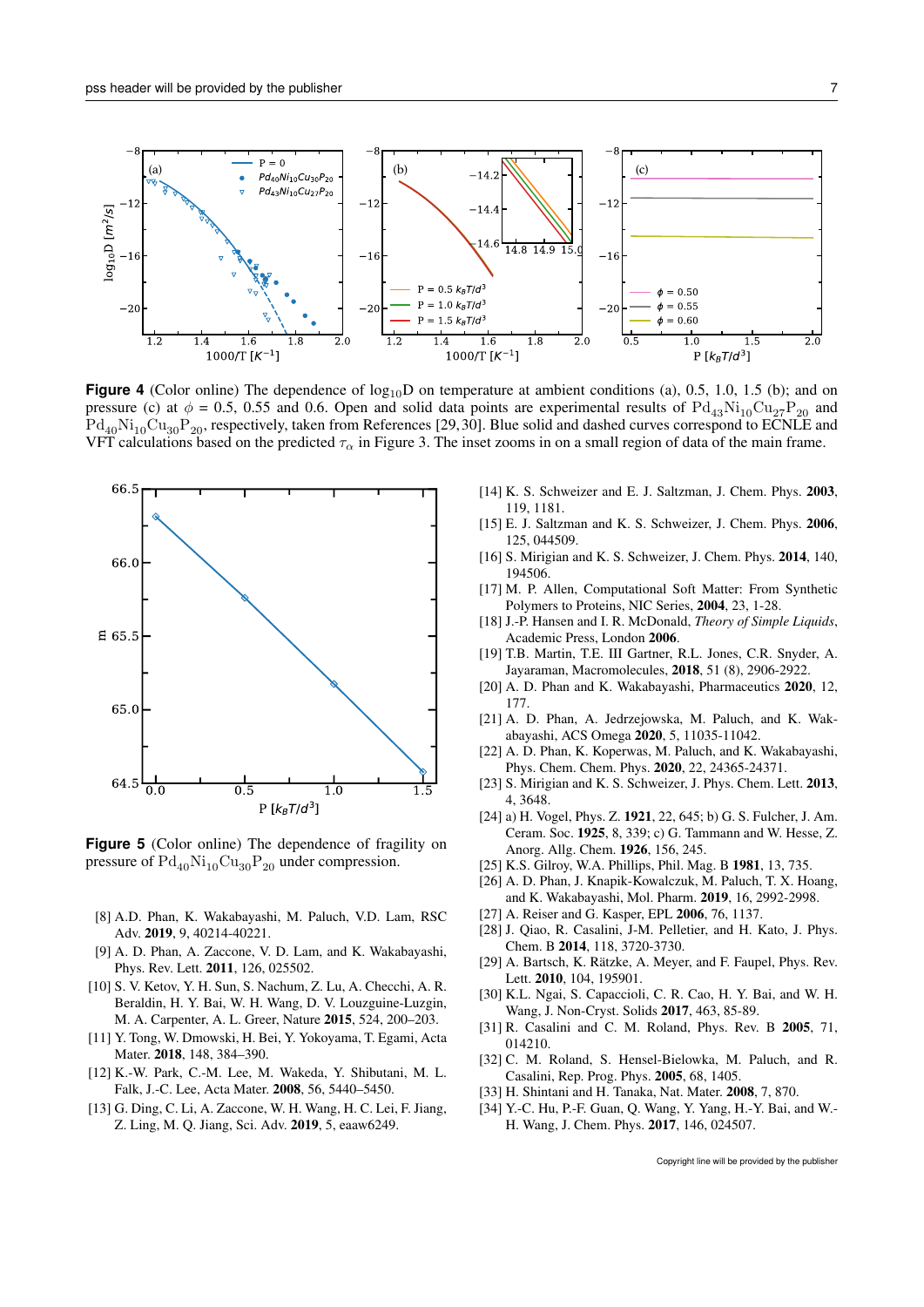

**Figure 4** (Color online) The dependence of  $log_{10}D$  on temperature at ambient conditions (a), 0.5, 1.0, 1.5 (b); and on pressure (c) at  $\phi = 0.5$ , 0.55 and 0.6. Open and solid data points are experimental results of Pd<sub>43</sub>Ni<sub>10</sub>Cu<sub>27</sub>P<sub>20</sub> and  $Pd_{40}Ni_{10}Cu_{30}P_{20}$ , respectively, taken from References [29, 30]. Blue solid and dashed curves correspond to ECNLE and VFT calculations based on the predicted  $\tau_{\alpha}$  in Figure 3. The inset zooms in on a small region of data of the main frame.



**Figure 5** (Color online) The dependence of fragility on pressure of  $Pd_{40}Ni_{10}Cu_{30}P_{20}$  under compression.

- [8] A.D. Phan, K. Wakabayashi, M. Paluch, V.D. Lam, RSC Adv. 2019, 9, 40214-40221.
- [9] A. D. Phan, A. Zaccone, V. D. Lam, and K. Wakabayashi, Phys. Rev. Lett. 2011, 126, 025502.
- [10] S. V. Ketov, Y. H. Sun, S. Nachum, Z. Lu, A. Checchi, A. R. Beraldin, H. Y. Bai, W. H. Wang, D. V. Louzguine-Luzgin, M. A. Carpenter, A. L. Greer, Nature 2015, 524, 200–203.
- [11] Y. Tong, W. Dmowski, H. Bei, Y. Yokoyama, T. Egami, Acta Mater. 2018, 148, 384–390.
- [12] K.-W. Park, C.-M. Lee, M. Wakeda, Y. Shibutani, M. L. Falk, J.-C. Lee, Acta Mater. 2008, 56, 5440–5450.
- [13] G. Ding, C. Li, A. Zaccone, W. H. Wang, H. C. Lei, F. Jiang, Z. Ling, M. Q. Jiang, Sci. Adv. 2019, 5, eaaw6249.
- [14] K. S. Schweizer and E. J. Saltzman, J. Chem. Phys. 2003, 119, 1181.
- [15] E. J. Saltzman and K. S. Schweizer, J. Chem. Phys. 2006, 125, 044509.
- [16] S. Mirigian and K. S. Schweizer, J. Chem. Phys. 2014, 140, 194506.
- [17] M. P. Allen, Computational Soft Matter: From Synthetic Polymers to Proteins, NIC Series, 2004, 23, 1-28.
- [18] J.-P. Hansen and I. R. McDonald, *Theory of Simple Liquids*, Academic Press, London 2006.
- [19] T.B. Martin, T.E. III Gartner, R.L. Jones, C.R. Snyder, A. Jayaraman, Macromolecules, 2018, 51 (8), 2906-2922.
- [20] A. D. Phan and K. Wakabayashi, Pharmaceutics 2020, 12, 177.
- [21] A. D. Phan, A. Jedrzejowska, M. Paluch, and K. Wakabayashi, ACS Omega 2020, 5, 11035-11042.
- [22] A. D. Phan, K. Koperwas, M. Paluch, and K. Wakabayashi, Phys. Chem. Chem. Phys. 2020, 22, 24365-24371.
- [23] S. Mirigian and K. S. Schweizer, J. Phys. Chem. Lett. 2013, 4, 3648.
- [24] a) H. Vogel, Phys. Z. 1921, 22, 645; b) G. S. Fulcher, J. Am. Ceram. Soc. 1925, 8, 339; c) G. Tammann and W. Hesse, Z. Anorg. Allg. Chem. 1926, 156, 245.
- [25] K.S. Gilroy, W.A. Phillips, Phil. Mag. B 1981, 13, 735.
- [26] A. D. Phan, J. Knapik-Kowalczuk, M. Paluch, T. X. Hoang, and K. Wakabayashi, Mol. Pharm. 2019, 16, 2992-2998.
- [27] A. Reiser and G. Kasper, EPL 2006, 76, 1137.
- [28] J. Qiao, R. Casalini, J-M. Pelletier, and H. Kato, J. Phys. Chem. B 2014, 118, 3720-3730.
- [29] A. Bartsch, K. Rätzke, A. Meyer, and F. Faupel, Phys. Rev. Lett. 2010, 104, 195901.
- [30] K.L. Ngai, S. Capaccioli, C. R. Cao, H. Y. Bai, and W. H. Wang, J. Non-Cryst. Solids 2017, 463, 85-89.
- [31] R. Casalini and C. M. Roland, Phys. Rev. B 2005, 71, 014210.
- [32] C. M. Roland, S. Hensel-Bielowka, M. Paluch, and R. Casalini, Rep. Prog. Phys. 2005, 68, 1405.
- [33] H. Shintani and H. Tanaka, Nat. Mater. 2008, 7, 870.
- [34] Y.-C. Hu, P.-F. Guan, Q. Wang, Y. Yang, H.-Y. Bai, and W.- H. Wang, J. Chem. Phys. 2017, 146, 024507.